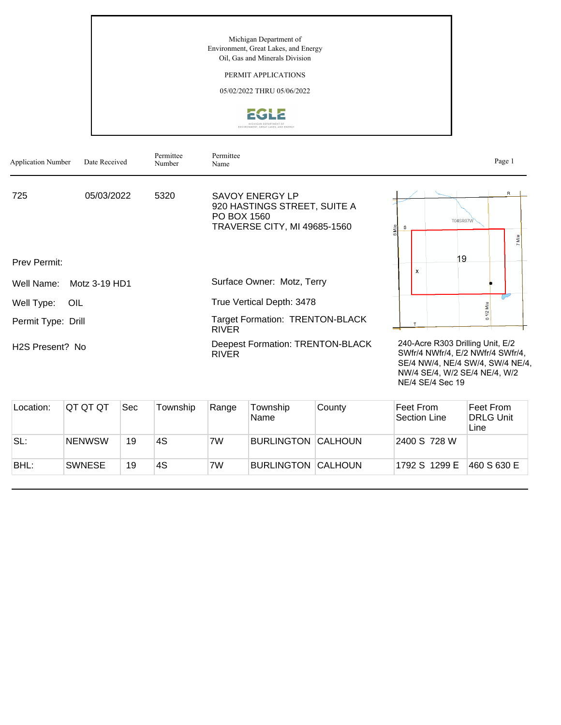## PERMIT APPLICATIONS

05/02/2022 THRU 05/06/2022



| <b>Application Number</b> | Date Received | Permittee<br>Number | Permittee<br>Name                                                                              |                                                                                                                                            | Page 1 |
|---------------------------|---------------|---------------------|------------------------------------------------------------------------------------------------|--------------------------------------------------------------------------------------------------------------------------------------------|--------|
| 725                       | 05/03/2022    | 5320                | SAVOY ENERGY LP<br>920 HASTINGS STREET, SUITE A<br>PO BOX 1560<br>TRAVERSE CITY, MI 49685-1560 | <b>T04SR07W</b>                                                                                                                            | R      |
| Prev Permit:              |               |                     |                                                                                                | 19<br>$\boldsymbol{\mathsf{x}}$                                                                                                            |        |
| Well Name:                | Motz 3-19 HD1 |                     | Surface Owner: Motz, Terry                                                                     |                                                                                                                                            |        |
| Well Type:<br>OIL         |               |                     | True Vertical Depth: 3478                                                                      |                                                                                                                                            |        |
| Permit Type: Drill        |               |                     | <b>Target Formation: TRENTON-BLACK</b><br><b>RIVER</b>                                         |                                                                                                                                            |        |
| H2S Present? No           |               |                     | Deepest Formation: TRENTON-BLACK<br><b>RIVER</b>                                               | 240-Acre R303 Drilling Unit, E/2<br>SWfr/4 NWfr/4, E/2 NWfr/4 SWfr/4,<br>SE/4 NW/4, NE/4 SW/4, SW/4 NE/4,<br>NW/4 SE/4, W/2 SE/4 NE/4, W/2 |        |

| Location: | IQT QT QT     | Sec | Township | Range | Township<br><b>Name</b>   | County | ∣Feet From<br>Section Line | Feet From<br><b>DRLG Unit</b><br>Line |
|-----------|---------------|-----|----------|-------|---------------------------|--------|----------------------------|---------------------------------------|
| SL:       | <b>NENWSW</b> | 19  | 4S       | 7W    | <b>BURLINGTON CALHOUN</b> |        | 2400 S 728 W               |                                       |
| BHL:      | <b>SWNESE</b> | 19  | 4S       | 7W    | <b>BURLINGTON CALHOUN</b> |        | 1792 S 1299 E              | 460 S 630 E                           |

NE/4 SE/4 Sec 19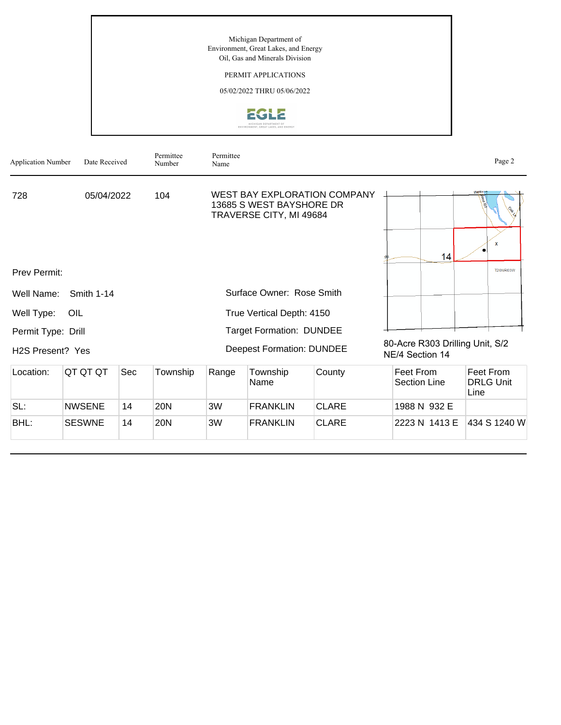

| <b>Application Number</b>     | Date Received     |     | Permittee<br>Number | Permittee<br>Name |                                                     |                                     |                                                    | Page 2                                |
|-------------------------------|-------------------|-----|---------------------|-------------------|-----------------------------------------------------|-------------------------------------|----------------------------------------------------|---------------------------------------|
| 728                           | 05/04/2022        |     | 104                 |                   | 13685 S WEST BAYSHORE DR<br>TRAVERSE CITY, MI 49684 | <b>WEST BAY EXPLORATION COMPANY</b> |                                                    | <b>Weissy</b>                         |
|                               |                   |     |                     |                   |                                                     |                                     | 14                                                 | $\mathbf{x}$                          |
| Prev Permit:                  |                   |     |                     |                   |                                                     |                                     |                                                    | <b>T20NR03W</b>                       |
| Well Name:                    | <b>Smith 1-14</b> |     |                     |                   | Surface Owner: Rose Smith                           |                                     |                                                    |                                       |
| Well Type:                    | OIL               |     |                     |                   | True Vertical Depth: 4150                           |                                     |                                                    |                                       |
| Permit Type: Drill            |                   |     |                     |                   | <b>Target Formation: DUNDEE</b>                     |                                     |                                                    |                                       |
| H <sub>2</sub> S Present? Yes |                   |     |                     |                   | <b>Deepest Formation: DUNDEE</b>                    |                                     | 80-Acre R303 Drilling Unit, S/2<br>NE/4 Section 14 |                                       |
| Location:                     | QT QT QT          | Sec | Township            | Range             | Township<br>Name                                    | County                              | Feet From<br><b>Section Line</b>                   | Feet From<br><b>DRLG Unit</b><br>Line |
| SL:                           | <b>NWSENE</b>     | 14  | <b>20N</b>          | 3W                | <b>FRANKLIN</b>                                     | <b>CLARE</b>                        | 1988 N 932 E                                       |                                       |
| BHL:                          | <b>SESWNE</b>     | 14  | 20N                 | 3W                | <b>FRANKLIN</b>                                     | <b>CLARE</b>                        | 2223 N 1413 E                                      | 434 S 1240 W                          |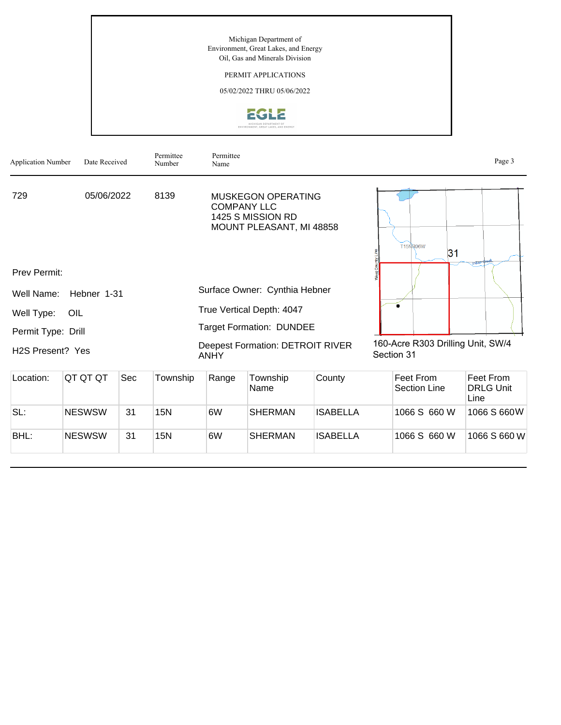PERMIT APPLICATIONS



| <b>Application Number</b>     | Date Received |     | Permittee<br>Number | Permittee<br>Name  |                                                                     |                 |                                                 | Page 3                                |
|-------------------------------|---------------|-----|---------------------|--------------------|---------------------------------------------------------------------|-----------------|-------------------------------------------------|---------------------------------------|
| 729                           | 05/06/2022    |     | 8139                | <b>COMPANY LLC</b> | MUSKEGON OPERATING<br>1425 S MISSION RD<br>MOUNT PLEASANT, MI 48858 |                 | <b>T15NR06W</b><br>31                           | <b>Indan</b> dre                      |
| <b>Prev Permit:</b>           |               |     |                     |                    |                                                                     |                 |                                                 |                                       |
| Well Name:                    | Hebner 1-31   |     |                     |                    | Surface Owner: Cynthia Hebner                                       |                 |                                                 |                                       |
| Well Type:                    | OIL           |     |                     |                    | True Vertical Depth: 4047                                           |                 |                                                 |                                       |
| Permit Type: Drill            |               |     |                     |                    | <b>Target Formation: DUNDEE</b>                                     |                 |                                                 |                                       |
| H <sub>2</sub> S Present? Yes |               |     |                     | <b>ANHY</b>        | <b>Deepest Formation: DETROIT RIVER</b>                             |                 | 160-Acre R303 Drilling Unit, SW/4<br>Section 31 |                                       |
| Location:                     | QT QT QT      | Sec | Township            | Range              | Township<br>Name                                                    | County          | Feet From<br><b>Section Line</b>                | Feet From<br><b>DRLG Unit</b><br>Line |
| SL:                           | <b>NESWSW</b> | 31  | 15N                 | 6W                 | <b>SHERMAN</b>                                                      | <b>ISABELLA</b> | 1066 S 660 W                                    | 1066 S 660W                           |
| BHL:                          | <b>NESWSW</b> | 31  | <b>15N</b>          | 6W                 | SHERMAN                                                             | <b>ISABELLA</b> | 1066 S 660 W                                    | 1066 S 660 W                          |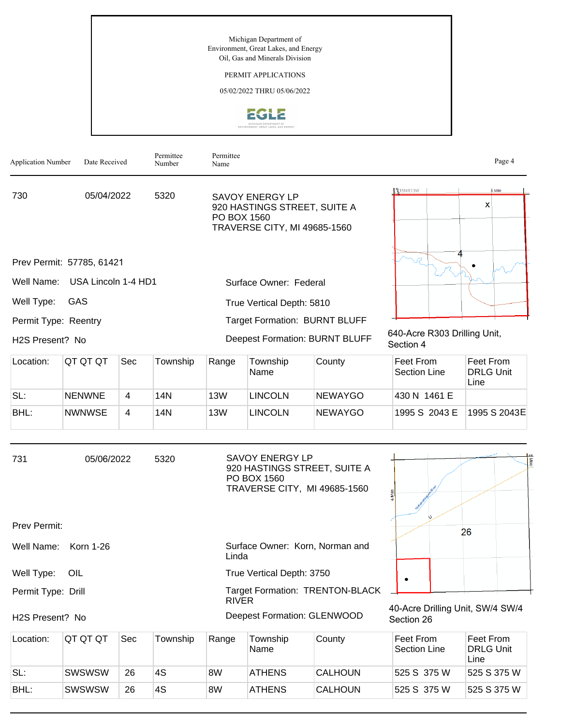PERMIT APPLICATIONS



| <b>Application Number</b> | Date Received             |     | Permittee<br>Number | Permittee<br>Name |                                                                                                       |                                        |                                                | Page 4                                |
|---------------------------|---------------------------|-----|---------------------|-------------------|-------------------------------------------------------------------------------------------------------|----------------------------------------|------------------------------------------------|---------------------------------------|
| 730                       | 05/04/2022                |     | 5320                | PO BOX 1560       | <b>SAVOY ENERGY LP</b><br>920 HASTINGS STREET, SUITE A<br>TRAVERSE CITY, MI 49685-1560                |                                        | 【 \$15NR13W                                    | 6 Mile<br>X                           |
|                           | Prev Permit: 57785, 61421 |     |                     |                   |                                                                                                       |                                        |                                                |                                       |
| Well Name:                | USA Lincoln 1-4 HD1       |     |                     |                   | Surface Owner: Federal                                                                                |                                        |                                                |                                       |
| Well Type:                | GAS                       |     |                     |                   | True Vertical Depth: 5810                                                                             |                                        |                                                |                                       |
| Permit Type: Reentry      |                           |     |                     |                   | Target Formation: BURNT BLUFF                                                                         |                                        |                                                |                                       |
| H2S Present? No           |                           |     |                     |                   | Deepest Formation: BURNT BLUFF                                                                        |                                        | 640-Acre R303 Drilling Unit,<br>Section 4      |                                       |
| Location:                 | QT QT QT                  | Sec | Township            | Range             | Township<br>Name                                                                                      | County                                 | Feet From<br><b>Section Line</b>               | Feet From<br><b>DRLG Unit</b><br>Line |
| SL:                       | <b>NENWNE</b>             | 4   | 14N                 | <b>13W</b>        | <b>LINCOLN</b>                                                                                        | <b>NEWAYGO</b>                         | 430 N 1461 E                                   |                                       |
| BHL:                      | <b>NWNWSE</b>             | 4   | 14N                 | <b>13W</b>        | <b>LINCOLN</b>                                                                                        | <b>NEWAYGO</b>                         | 1995 S 2043 E                                  | 1995 S 2043E                          |
| 731                       | 05/06/2022                |     | 5320                |                   | <b>SAVOY ENERGY LP</b><br>920 HASTINGS STREET, SUITE A<br>PO BOX 1560<br>TRAVERSE CITY, MI 49685-1560 |                                        |                                                |                                       |
| Prev Permit:              |                           |     |                     |                   |                                                                                                       |                                        |                                                | 26                                    |
| Well Name:                | Korn 1-26                 |     |                     | Linda             | Surface Owner: Korn, Norman and                                                                       |                                        |                                                |                                       |
| Well Type:                | OIL                       |     |                     |                   | True Vertical Depth: 3750                                                                             |                                        |                                                |                                       |
| Permit Type: Drill        |                           |     |                     | <b>RIVER</b>      |                                                                                                       | <b>Target Formation: TRENTON-BLACK</b> |                                                |                                       |
| H2S Present? No           |                           |     |                     |                   | Deepest Formation: GLENWOOD                                                                           |                                        | 40-Acre Drilling Unit, SW/4 SW/4<br>Section 26 |                                       |
| Location:                 | QT QT QT                  | Sec | Township            | Range             | Township<br>Name                                                                                      | County                                 | Feet From<br>Section Line                      | Feet From<br><b>DRLG Unit</b><br>Line |

| SL:<br><b>SWSWSW</b>  |    |    |    |               |                |             |             |
|-----------------------|----|----|----|---------------|----------------|-------------|-------------|
|                       | 26 | 4S | 8W | <b>ATHENS</b> | <b>CALHOUN</b> | 525 S 375 W | 525 S 375 W |
| BHL:<br><b>SWSWSW</b> | 26 | 4S | 8W | <b>ATHENS</b> | <b>CALHOUN</b> | 525 S 375 W | 525 S 375 W |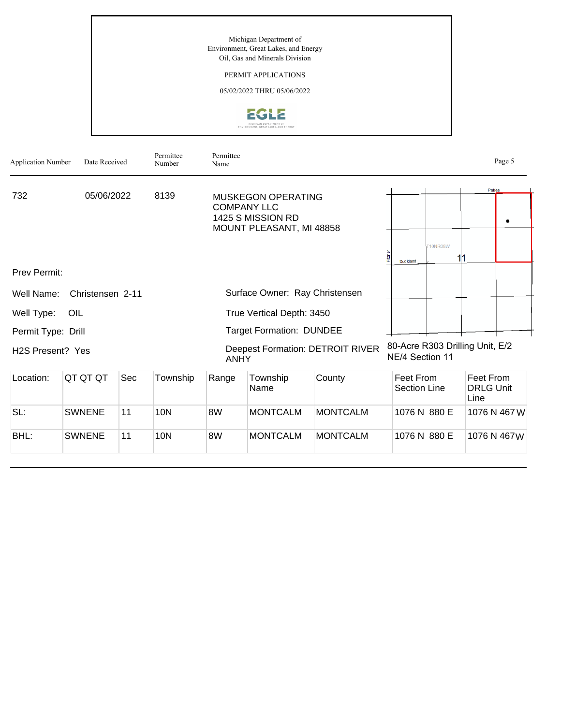PERMIT APPLICATIONS



| <b>Application Number</b>     | Date Received    |     | Permittee<br>Number | Permittee<br>Name |                                                                                                  |                                         |                                  |                                 |                                       | Page 5       |
|-------------------------------|------------------|-----|---------------------|-------------------|--------------------------------------------------------------------------------------------------|-----------------------------------------|----------------------------------|---------------------------------|---------------------------------------|--------------|
| 732                           | 05/06/2022       |     | 8139                |                   | <b>MUSKEGON OPERATING</b><br><b>COMPANY LLC</b><br>1425 S MISSION RD<br>MOUNT PLEASANT, MI 48858 |                                         |                                  |                                 | Pakes                                 |              |
|                               |                  |     |                     |                   |                                                                                                  |                                         | <b>Duckland</b>                  | <b>T10NR08W</b>                 | 11                                    |              |
| <b>Prev Permit:</b>           |                  |     |                     |                   |                                                                                                  |                                         |                                  |                                 |                                       |              |
| Well Name:                    | Christensen 2-11 |     |                     |                   | Surface Owner: Ray Christensen                                                                   |                                         |                                  |                                 |                                       |              |
| Well Type:                    | OIL              |     |                     |                   | True Vertical Depth: 3450                                                                        |                                         |                                  |                                 |                                       |              |
| Permit Type: Drill            |                  |     |                     |                   | <b>Target Formation: DUNDEE</b>                                                                  |                                         |                                  |                                 |                                       |              |
| H <sub>2</sub> S Present? Yes |                  |     |                     | <b>ANHY</b>       |                                                                                                  | <b>Deepest Formation: DETROIT RIVER</b> | NE/4 Section 11                  | 80-Acre R303 Drilling Unit, E/2 |                                       |              |
| Location:                     | QT QT QT         | Sec | Township            | Range             | Township<br>Name                                                                                 | County                                  | Feet From<br><b>Section Line</b> |                                 | Feet From<br><b>DRLG Unit</b><br>Line |              |
| SL:                           | <b>SWNENE</b>    | 11  | <b>10N</b>          | 8W                | <b>MONTCALM</b>                                                                                  | <b>MONTCALM</b>                         |                                  | 1076 N 880 E                    |                                       | 1076 N 467 W |
| BHL:                          | <b>SWNENE</b>    | 11  | <b>10N</b>          | 8W                | <b>MONTCALM</b>                                                                                  | <b>MONTCALM</b>                         |                                  | 1076 N 880 E                    |                                       | 1076 N 467W  |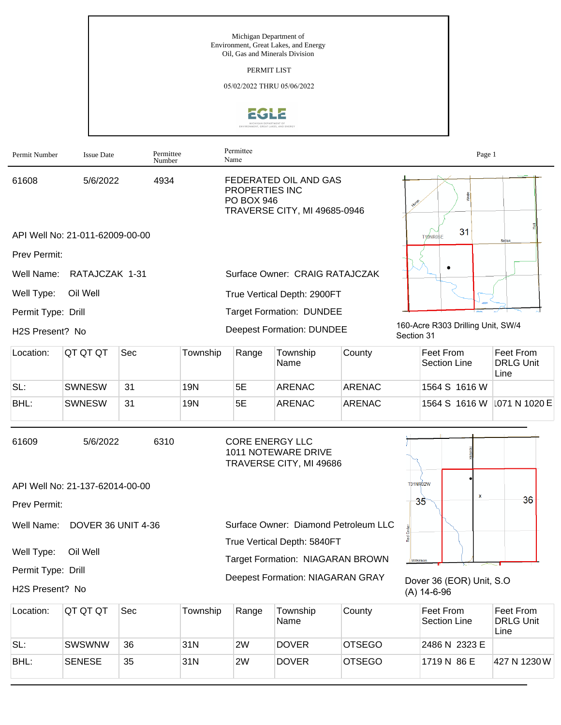Michigan Department of Environment, Great Lakes, and Energy Oil, Gas and Minerals Division PERMIT LIST 05/02/2022 THRU 05/06/2022 **EGLE** Permittee Permit Number Issue Date Permittee<br>Number Name FEDERATED OIL AND GAS 61608 5/6/2022 4934 PROPERTIES INC Nolfe PO BOX 946 TRAVERSE CITY, MI 49685-0946  $31$ API Well No: 21-011-62009-00-00 T19NR05E

Prev Permit:

Well Name: RATAJCZAK 1-31

Well Type: Oil Well

Permit Type: Drill

H2S Present? No

| Location: | IQT QT QT     | Sec | Township | Range | Township<br>Name | County        | Feet From<br>Section Line   | Feet From<br><b>DRLG Unit</b><br>Line |
|-----------|---------------|-----|----------|-------|------------------|---------------|-----------------------------|---------------------------------------|
| SL:       | <b>SWNESW</b> | 31  | 19N      | 5E    | <b>ARENAC</b>    | <b>ARENAC</b> | 1564 S 1616 W               |                                       |
| BHL:      | <b>SWNESW</b> | 31  | 19N      | 5E    | <b>ARENAC</b>    | ARENAC        | 1564 S 1616 W 1071 N 1020 E |                                       |

True Vertical Depth: 2900FT Target Formation: DUNDEE

Deepest Formation: DUNDEE

Surface Owner: CRAIG RATAJCZAK

| 61609        | 5/6/2022                        | 6310 | <b>CORE ENERGY LLC</b><br>1011 NOTEWARE DRIVE<br>TRAVERSE CITY, MI 49686 |                 |   |    |
|--------------|---------------------------------|------|--------------------------------------------------------------------------|-----------------|---|----|
|              | API Well No: 21-137-62014-00-00 |      |                                                                          | <b>T31NR02W</b> | x |    |
| Prev Permit: |                                 |      |                                                                          | 35              |   | 36 |
|              | Well Name: DOVER 36 UNIT 4-36   |      | Surface Owner: Diamond Petroleum LLC                                     |                 |   |    |
|              |                                 |      | True Vertical Depth: 5840FT                                              |                 |   |    |
| Well Type:   | Oil Well                        |      |                                                                          |                 |   |    |

Permit Type: Drill

H2S Present? No

Target Formation: NIAGARAN BROWN Deepest Formation: NIAGARAN GRAY



(A) 14-6-96

160-Acre R303 Drilling Unit, SW/4

 $\bullet$ 

Section 31

Page 1

Location: QT QT QT Sec Township Range Township Name County Feet From Section Line Feet From DRLG Unit Line SL: SWSWNW 36 31N 2W DOVER OTSEGO 2486 N 2323 E BHL: SENESE 35 31N 2W DOVER OTSEGO 1719 N 86 E 427 N 1230 W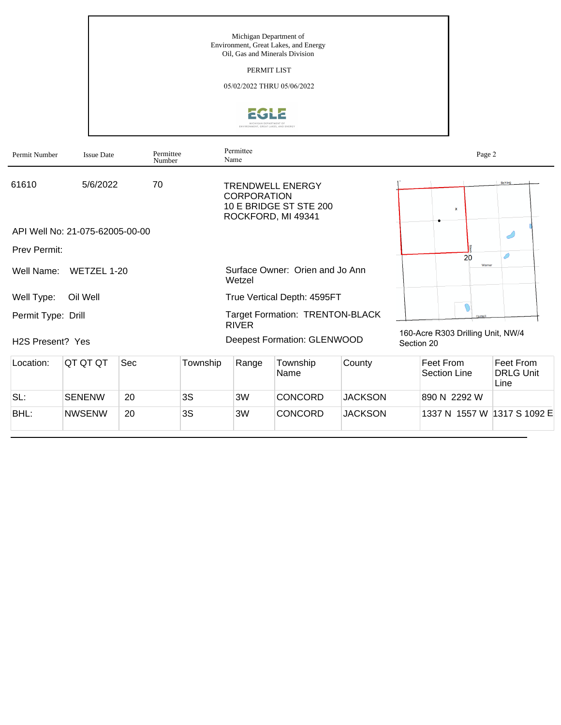PERMIT LIST



| Permit Number                 | <b>Issue Date</b>               | Permittee<br>Number |          | Permittee<br>Name  |                                                                         |                |            | Page 2                            |                                       |
|-------------------------------|---------------------------------|---------------------|----------|--------------------|-------------------------------------------------------------------------|----------------|------------|-----------------------------------|---------------------------------------|
| 61610                         | 5/6/2022                        | 70                  |          | <b>CORPORATION</b> | <b>TRENDWELL ENERGY</b><br>10 E BRIDGE ST STE 200<br>ROCKFORD, MI 49341 |                |            | $\mathbf{x}$                      | Behling                               |
|                               | API Well No: 21-075-62005-00-00 |                     |          |                    |                                                                         |                |            |                                   |                                       |
| <b>Prev Permit:</b>           |                                 |                     |          |                    |                                                                         |                |            | 20                                |                                       |
| Well Name:                    | WETZEL 1-20                     |                     |          | Wetzel             | Surface Owner: Orien and Jo Ann                                         |                |            | Warner                            |                                       |
| Well Type:                    | Oil Well                        |                     |          |                    | True Vertical Depth: 4595FT                                             |                |            |                                   |                                       |
| Permit Type: Drill            |                                 |                     |          | <b>RIVER</b>       | Target Formation: TRENTON-BLACK                                         |                |            |                                   |                                       |
| H <sub>2</sub> S Present? Yes |                                 |                     |          |                    | Deepest Formation: GLENWOOD                                             |                | Section 20 | 160-Acre R303 Drilling Unit, NW/4 |                                       |
| Location:                     | QT QT QT                        | Sec                 | Township | Range              | Township<br>Name                                                        | County         |            | Feet From<br>Section Line         | Feet From<br><b>DRLG Unit</b><br>Line |
| SL:                           | <b>SENENW</b>                   | 20                  | 3S       | 3W                 | <b>CONCORD</b>                                                          | <b>JACKSON</b> |            | 890 N 2292 W                      |                                       |
| BHL:                          | <b>NWSENW</b>                   | 20                  | 3S       | 3W                 | <b>CONCORD</b>                                                          | <b>JACKSON</b> |            | 1337 N 1557 W                     | 1317 S 1092 E                         |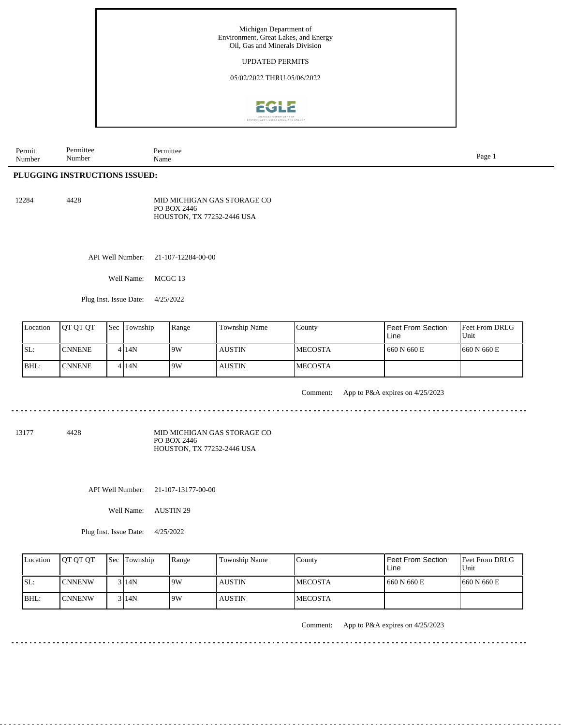

| Permit<br>the contract of the contract of the<br>Number | mıtte<br>10.44<br>. .<br>Numbe | .mıtter<br>Name | Page |
|---------------------------------------------------------|--------------------------------|-----------------|------|
|---------------------------------------------------------|--------------------------------|-----------------|------|

## **PLUGGING INSTRUCTIONS ISSUED:**

| 12284 | 4428 | MID MICHIGAN GAS STORAGE CO |
|-------|------|-----------------------------|
|       |      | PO BOX 2446                 |
|       |      | HOUSTON, TX 77252-2446 USA  |

API Well Number: 21-107-12284-00-00

Well Name: MCGC 13

Plug Inst. Issue Date: 4/25/2022

| Location | <b>OT OT OT</b> | <b>Sec Township</b> | Range | <b>Township Name</b> | County          | Feet From Section<br>Line | <b>Feet From DRLG</b><br>Unit |
|----------|-----------------|---------------------|-------|----------------------|-----------------|---------------------------|-------------------------------|
| SL:      | <b>CNNENE</b>   | 4 I 14 N            | 19W   | <b>AUSTIN</b>        | <b>IMECOSTA</b> | 660 N 660 E               | 1660 N 660 E                  |
| BHL:     | <b>CNNENE</b>   | 4 I 14 N            | 19W   | <b>AUSTIN</b>        | <b>IMECOSTA</b> |                           |                               |

Comment: App to P&A expires on 4/25/2023

<u>eeseses</u>es

13177 4428

MID MICHIGAN GAS STORAGE CO PO BOX 2446 HOUSTON, TX 77252-2446 USA

API Well Number: 21-107-13177-00-00

Well Name: AUSTIN 29

Plug Inst. Issue Date: 4/25/2022

| Location | <b>OT OT OT</b> | <b>Sec Township</b> | Range | Township Name | Countv          | Feet From Section<br>Line | <b>Feet From DRLG</b><br>Unit |
|----------|-----------------|---------------------|-------|---------------|-----------------|---------------------------|-------------------------------|
| ISL:     | <b>ICNNENW</b>  | 3 14N               | 9W    | <b>AUSTIN</b> | <b>IMECOSTA</b> | 660 N 660 E               | 1660 N 660 E                  |
| BHL:     | <b>ICNNENW</b>  | 3 14N               | 9W    | <b>AUSTIN</b> | <b>IMECOSTA</b> |                           |                               |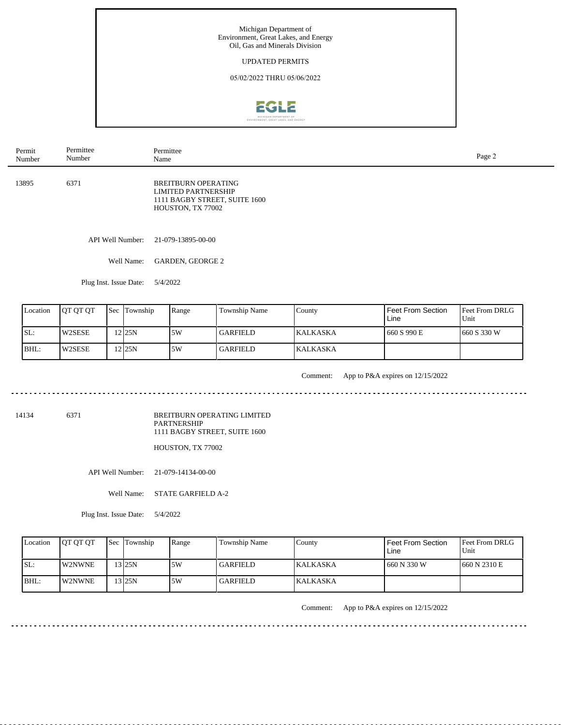

| Permit<br>Number | Permittee<br>Number    | Permittee<br>Name                                                                                              | Page 2 |
|------------------|------------------------|----------------------------------------------------------------------------------------------------------------|--------|
| 13895            | 6371                   | <b>BREITBURN OPERATING</b><br><b>LIMITED PARTNERSHIP</b><br>1111 BAGBY STREET, SUITE 1600<br>HOUSTON, TX 77002 |        |
|                  | API Well Number:       | 21-079-13895-00-00                                                                                             |        |
|                  | Well Name:             | GARDEN, GEORGE 2                                                                                               |        |
|                  | Plug Inst. Issue Date: | 5/4/2022                                                                                                       |        |

| Location | <b>IOT OT OT</b> | <b>Sec Township</b> | Range | Township Name   | County           | Feet From Section<br>Line | <b>Feet From DRLG</b><br>Unit |
|----------|------------------|---------------------|-------|-----------------|------------------|---------------------------|-------------------------------|
| ISL:     | l W2SESE         | 12125N              | .5W   | <b>GARFIELD</b> | <b>IKALKASKA</b> | 1660 S 990 E              | 1660 S 330 W                  |
| BHL:     | l W2SESE         | 12 <sub>125N</sub>  | .5W   | <b>GARFIELD</b> | <b>KALKASKA</b>  |                           |                               |

<u>. . . . . . . . .</u>

Comment: App to P&A expires on 12/15/2022

14134 6371

BREITBURN OPERATING LIMITED PARTNERSHIP 1111 BAGBY STREET, SUITE 1600

HOUSTON, TX 77002

API Well Number: 21-079-14134-00-00

Well Name: STATE GARFIELD A-2

Plug Inst. Issue Date: 5/4/2022

| Location | <b>IOT OT OT</b> | <b>Sec Township</b> | Range | <b>Township Name</b> | County           | <b>Feet From Section</b><br>Line | <b>Feet From DRLG</b><br>Unit |
|----------|------------------|---------------------|-------|----------------------|------------------|----------------------------------|-------------------------------|
| ISL:     | <b>IW2NWNE</b>   | 13 I25N             | 5W    | <b>GARFIELD</b>      | <b>KALKASKA</b>  | 1 660 N 330 W                    | 1660 N 2310 E                 |
| BHL:     | <b>IW2NWNE</b>   | $13$ 25N            | 5W    | <b>GARFIELD</b>      | <b>IKALKASKA</b> |                                  |                               |

--------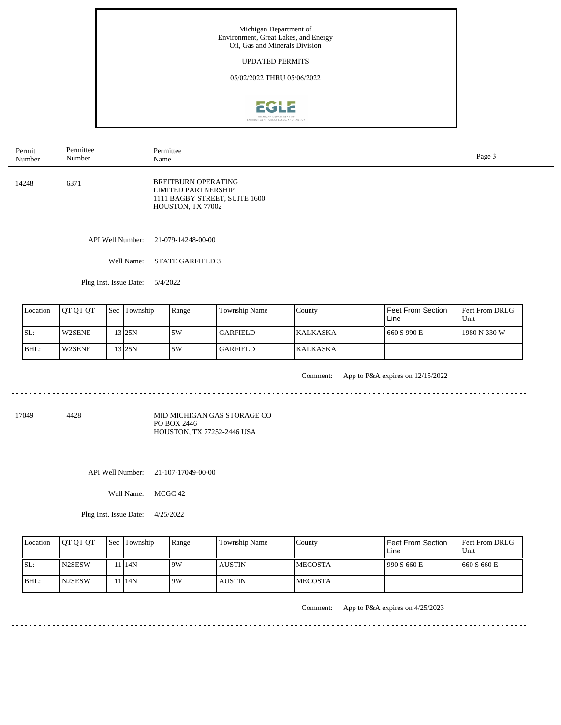

| Permit<br>Number | Permittee<br>Number    | Permittee<br>Name                                                                                              | Page 3 |
|------------------|------------------------|----------------------------------------------------------------------------------------------------------------|--------|
| 14248            | 6371                   | <b>BREITBURN OPERATING</b><br><b>LIMITED PARTNERSHIP</b><br>1111 BAGBY STREET, SUITE 1600<br>HOUSTON, TX 77002 |        |
|                  | API Well Number:       | 21-079-14248-00-00                                                                                             |        |
|                  | Well Name:             | <b>STATE GARFIELD 3</b>                                                                                        |        |
|                  | Plug Inst. Issue Date: | 5/4/2022                                                                                                       |        |

| Location | <b>IOT OT OT</b> | Sec Township | Range | Township Name   | County           | Feet From Section<br>Line | <b>Feet From DRLG</b><br>Unit |
|----------|------------------|--------------|-------|-----------------|------------------|---------------------------|-------------------------------|
| ISL:     | <b>IW2SENE</b>   | 3125N        | 5W    | <b>GARFIELD</b> | <b>IKALKASKA</b> | 1660 S 990 E              | 1980 N 330 W                  |
| BHL:     | W2SENE           | 13 25 N      | 5W    | <b>GARFIELD</b> | <b>KALKASKA</b>  |                           |                               |

. . . . . . .

Comment: App to P&A expires on 12/15/2022

 $\frac{1}{2}$ 

. . . . . . . . . . . . . . . . . . . .

<u>. . . . . . . . . . . . .</u>

17049 4428

MID MICHIGAN GAS STORAGE CO PO BOX 2446 HOUSTON, TX 77252-2446 USA

API Well Number: 21-107-17049-00-00

Well Name: MCGC 42

Plug Inst. Issue Date: 4/25/2022

|      | Location | <b>IOT OT OT</b> | <b>Sec Township</b> | Range | <b>Township Name</b> | County         | Feet From Section<br>Line | <b>Feet From DRLG</b><br>Unit |
|------|----------|------------------|---------------------|-------|----------------------|----------------|---------------------------|-------------------------------|
| ISL: |          | <b>IN2SESW</b>   | 114N                | 19W   | <b>AUSTIN</b>        | <b>MECOSTA</b> | 990 S 660 E               | 1660 S 660 E                  |
|      | BHL:     | <b>IN2SESW</b>   | 1 14N               | 19W   | <b>AUSTIN</b>        | <b>MECOSTA</b> |                           |                               |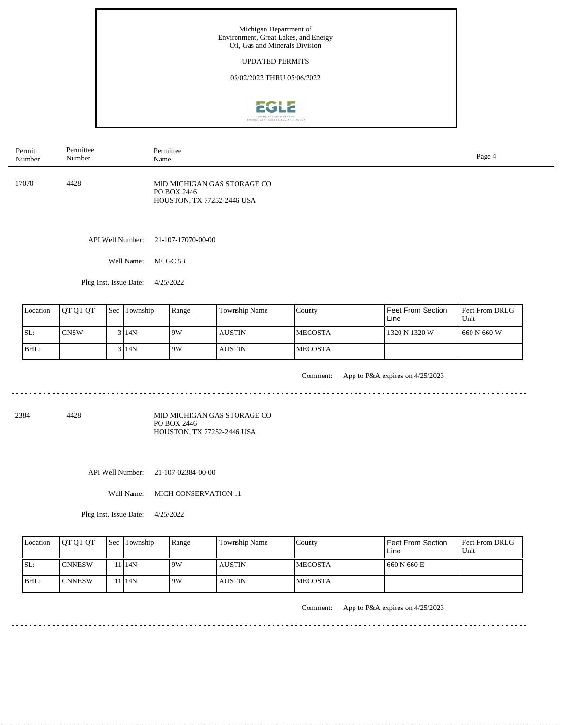

| Permit | Permittee | Permittee                                                                       | Page 4 |
|--------|-----------|---------------------------------------------------------------------------------|--------|
| Number | Number    | Name                                                                            |        |
| 17070  | 4428      | MID MICHIGAN GAS STORAGE CO<br>PO BOX 2446<br><b>HOUSTON, TX 77252-2446 USA</b> |        |

API Well Number: 21-107-17070-00-00

Well Name: MCGC 53

Plug Inst. Issue Date: 4/25/2022

| Location | <b>OT OT OT</b> | <b>Sec</b> Township | Range | Township Name | County          | Feet From Section<br>Line | <b>Feet From DRLG</b><br>Unit |
|----------|-----------------|---------------------|-------|---------------|-----------------|---------------------------|-------------------------------|
| SL:      | <b>ICNSW</b>    | 3 I 14 N            | 9W    | <b>AUSTIN</b> | <b>IMECOSTA</b> | 1320 N 1320 W             | 660 N 660 W                   |
| BHL:     |                 | 3 14N               | 19W   | <b>AUSTIN</b> | <b>MECOSTA</b>  |                           |                               |

<u>. . . . . . .</u>

Comment: App to P&A expires on 4/25/2023

. . . . . . . . . . . . . . . . . . . .

<u>. . . . . . . . . . .</u>

2384 4428

MID MICHIGAN GAS STORAGE CO PO BOX 2446 HOUSTON, TX 77252-2446 USA

API Well Number: 21-107-02384-00-00

Well Name: MICH CONSERVATION 11

Plug Inst. Issue Date: 4/25/2022

| Location | <b>OT OT OT</b> | <b>Sec Township</b> | Range | Township Name | County          | l Feet From Section<br>Line | <b>Feet From DRLG</b><br>Unit |
|----------|-----------------|---------------------|-------|---------------|-----------------|-----------------------------|-------------------------------|
| SL:      | <b>ICNNESW</b>  | 1 <sup>14</sup> N   | 9W    | <b>AUSTIN</b> | <b>IMECOSTA</b> | 1660 N 660 E                |                               |
| IBHL:    | <b>ICNNESW</b>  | 1 <sup>14</sup> N   | 9W    | <b>AUSTIN</b> | <b>IMECOSTA</b> |                             |                               |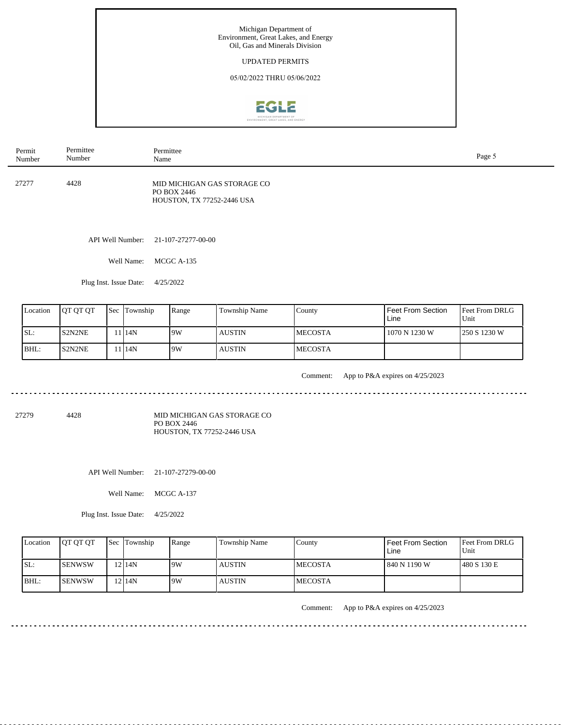

| Permit | Permittee | Permittee                                                                | Page 5 |
|--------|-----------|--------------------------------------------------------------------------|--------|
| Number | Number    | Name                                                                     |        |
| 27277  | 4428      | MID MICHIGAN GAS STORAGE CO<br>PO BOX 2446<br>HOUSTON, TX 77252-2446 USA |        |

API Well Number: 21-107-27277-00-00

Well Name: MCGC A-135

Plug Inst. Issue Date: 4/25/2022

| Location | <b>OT OT OT</b> | <b>Sec Township</b> | Range | Township Name | County          | Feet From Section<br>Line | <b>Feet From DRLG</b><br>Unit |
|----------|-----------------|---------------------|-------|---------------|-----------------|---------------------------|-------------------------------|
| SL:      | S2N2NE          | 1 <sup>14</sup> N   | 19W   | <b>AUSTIN</b> | <b>IMECOSTA</b> | 1070 N 1230 W             | 250 S 1230 W                  |
| BHL:     | S2N2NE          | 1 14N               | 19W   | <b>AUSTIN</b> | <b>IMECOSTA</b> |                           |                               |

<u>. . . . . . .</u>

Comment: App to P&A expires on 4/25/2023

. . . . . . . . . . . . . . . . . . . .

<u>. . . . . . . . . . .</u>

27279 4428

MID MICHIGAN GAS STORAGE CO PO BOX 2446 HOUSTON, TX 77252-2446 USA

API Well Number: 21-107-27279-00-00

Well Name: MCGC A-137

Plug Inst. Issue Date: 4/25/2022

| Location | <b>OT OT OT</b> | <b>Sec</b> Township | Range | <b>Township Name</b> | County          | <b>Feet From Section</b><br>Line | <b>Feet From DRLG</b><br>Unit |
|----------|-----------------|---------------------|-------|----------------------|-----------------|----------------------------------|-------------------------------|
| SL:      | ISENWSW         | $12$  14N           | 9W    | <b>AUSTIN</b>        | <b>IMECOSTA</b> | 840 N 1190 W                     | 1480 S 130 E                  |
| IBHL:    | ISENWSW         | 12 <sup>14N</sup>   | 9W    | <b>AUSTIN</b>        | <b>IMECOSTA</b> |                                  |                               |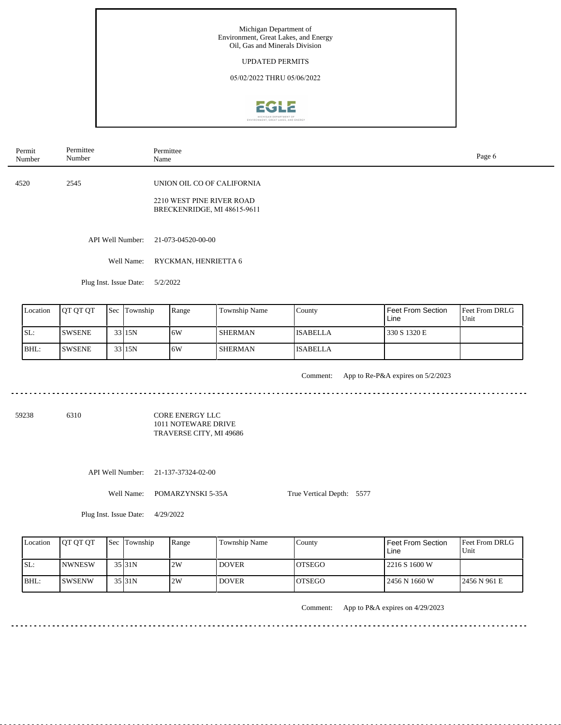

| Permit<br>Number | Permittee<br>Number | Permittee<br>Name                                                                      | Page 6 |
|------------------|---------------------|----------------------------------------------------------------------------------------|--------|
| 4520             | 2545                | UNION OIL CO OF CALIFORNIA<br>2210 WEST PINE RIVER ROAD<br>BRECKENRIDGE, MI 48615-9611 |        |
|                  |                     | API Well Number: 21-073-04520-00-00                                                    |        |

Well Name: RYCKMAN, HENRIETTA 6

Plug Inst. Issue Date: 5/2/2022

| Location | <b>OT OT OT</b> | <b>Sec</b> Township | Range | Township Name  | County          | Feet From Section<br>Line | <b>Feet From DRLG</b><br>Unit |
|----------|-----------------|---------------------|-------|----------------|-----------------|---------------------------|-------------------------------|
| SL:      | <b>ISWSENE</b>  | 33 15N              | 16W   | <b>SHERMAN</b> | <b>ISABELLA</b> | 330 S 1320 E              |                               |
| BHL:     | <b>ISWSENE</b>  | 33 15N              | 16W   | SHERMAN        | <b>ISABELLA</b> |                           |                               |

<u>. . . . . . . . . . .</u>

Comment: App to Re-P&A expires on 5/2/2023

59238 6310

CORE ENERGY LLC 1011 NOTEWARE DRIVE TRAVERSE CITY, MI 49686

API Well Number: 21-137-37324-02-00

Well Name: POMARZYNSKI 5-35A

True Vertical Depth: 5577

Plug Inst. Issue Date: 4/29/2022

| Location | <b>IOT OT OT</b> | <b>Sec Township</b> | Range | <b>Township Name</b> | County         | Feet From Section<br>Line | <b>Feet From DRLG</b><br>Unit |
|----------|------------------|---------------------|-------|----------------------|----------------|---------------------------|-------------------------------|
| SL:      | <b>INWNESW</b>   | $35$ <sub>31N</sub> | 2W    | <b>DOVER</b>         | <b>IOTSEGO</b> | 2216 S 1600 W             |                               |
| BHL:     | <b>ISWSENW</b>   | 35 31N              | 2W    | <b>DOVER</b>         | <b>IOTSEGO</b> | l 2456 N 1660 W           | 2456 N 961 E                  |

. . . . . . . . . .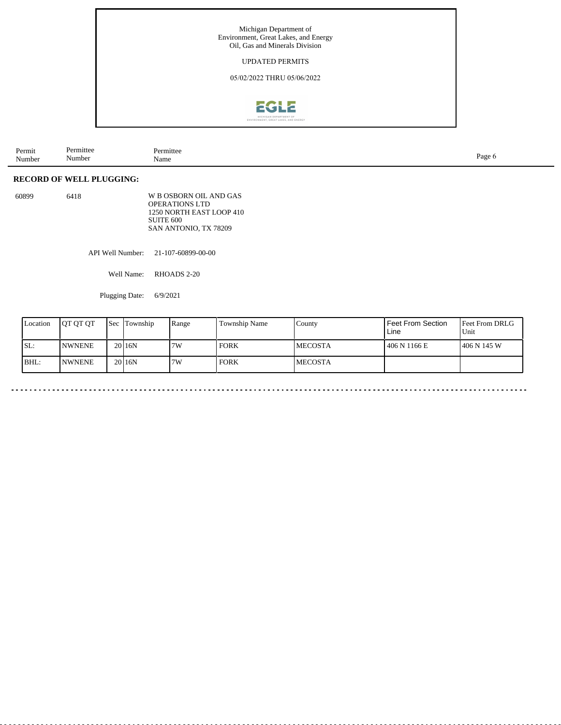

| Permit<br>Number | Permittee<br>Number | Permittee<br>Name | Page |
|------------------|---------------------|-------------------|------|
|------------------|---------------------|-------------------|------|

## **RECORD OF WELL PLUGGING:**

| 60899 | 6418 | W B OSBORN OIL AND GAS   |
|-------|------|--------------------------|
|       |      | <b>OPERATIONS LTD</b>    |
|       |      | 1250 NORTH EAST LOOP 410 |
|       |      | SUITE 600                |
|       |      | SAN ANTONIO, TX 78209    |

API Well Number: 21-107-60899-00-00

Well Name: RHOADS 2-20

Plugging Date: 6/9/2021

| Location | <b>IOT OT OT</b> | Sec | Township           | Range | Township Name | County          | <b>Feet From Section</b><br>Line | Feet From DRLG<br>Unit |
|----------|------------------|-----|--------------------|-------|---------------|-----------------|----------------------------------|------------------------|
| SL:      | <b>INWNENE</b>   |     | 20 <sub>16</sub> N | 7W    | <b>FORK</b>   | <b>IMECOSTA</b> | 406 N 1166 E                     | 1406 N 145 W           |
| BHL:     | <b>INWNENE</b>   |     | 20 <sub>16</sub> N | 7W    | <b>FORK</b>   | <b>IMECOSTA</b> |                                  |                        |

 $\sim$   $\sim$   $\sim$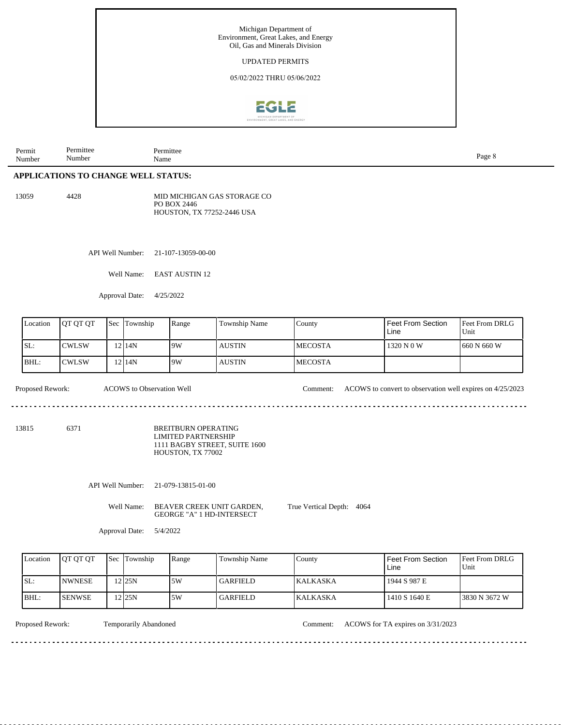

| Permit<br>$\mathbf{v}$<br>Number | ∵≏rmıttee<br>$\sim$ $\sim$<br>Number | Permittee<br>Name | Page |
|----------------------------------|--------------------------------------|-------------------|------|
|                                  |                                      |                   |      |

## **APPLICATIONS TO CHANGE WELL STATUS:**

13059 4428

MID MICHIGAN GAS STORAGE CO PO BOX 2446 HOUSTON, TX 77252-2446 USA

API Well Number: 21-107-13059-00-00

Well Name: EAST AUSTIN 12

Approval Date: 4/25/2022

| Location | <b>OT OT OT</b> | <b>Sec</b> | Township | Range | Township Name | County          | Feet From Section<br>Line | <b>Feet From DRLG</b><br>Unit |
|----------|-----------------|------------|----------|-------|---------------|-----------------|---------------------------|-------------------------------|
| SL:      | <b>CWLSW</b>    |            | 2114N    | 19W   | <b>AUSTIN</b> | <b>IMECOSTA</b> | 1320 N 0 W                | 1660 N 660 W                  |
| BHL:     | ICWLSW          |            | 2114N    | 19W   | <b>AUSTIN</b> | <b>IMECOSTA</b> |                           |                               |

. . . . . . . . . . . . . . . .

Proposed Rework: ACOWS to Observation Well Comment: ACOWS to convert to observation well expires on 4/25/2023

13815 6371

BREITBURN OPERATING LIMITED PARTNERSHIP 1111 BAGBY STREET, SUITE 1600 HOUSTON, TX 77002

API Well Number: 21-079-13815-01-00

. . . . . . . . . . . . . . .

Well Name: BEAVER CREEK UNIT GARDEN, GEORGE "A" 1 HD-INTERSECT

True Vertical Depth: 4064

Approval Date: 5/4/2022

| Location | <b>IOT OT OT</b> | <b>Sec Township</b> | Range | Township Name   | County           | Feet From Section<br>Line | <b>IFeet From DRLG</b><br>Unit |
|----------|------------------|---------------------|-------|-----------------|------------------|---------------------------|--------------------------------|
| ISL:     | <b>INWNESE</b>   | 225N                | 5W    | <b>GARFIELD</b> | <b>IKALKASKA</b> | 1944 S 987 E              |                                |
| BHL:     | <b>ISENWSE</b>   | 225N                | 5W    | <b>GARFIELD</b> | <b>KALKASKA</b>  | 1410 S 1640 E             | 13830 N 3672 W                 |

Temporarily Abandoned

Proposed Rework: Temporarily Abandoned Comment: ACOWS for TA expires on 3/31/2023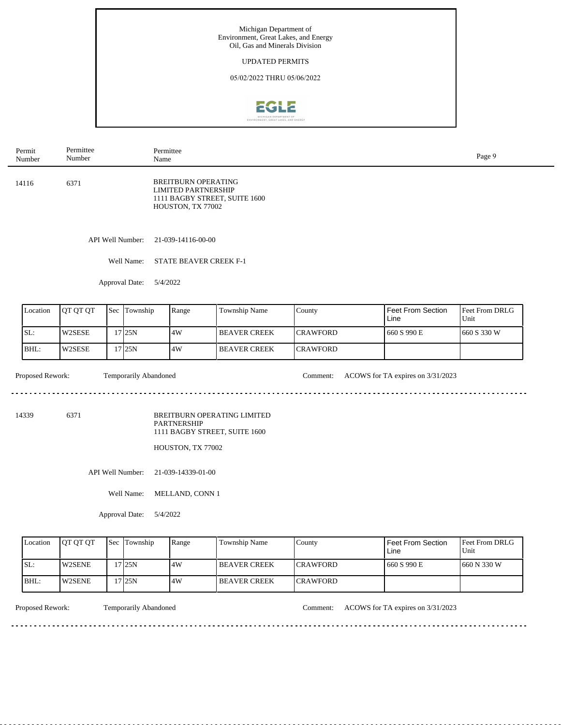

|                               | Permit<br>Number | Permittee<br>Number |     | Permittee<br>Name            |                                                                               |                                                              |                 |                                   | Page 9                 |
|-------------------------------|------------------|---------------------|-----|------------------------------|-------------------------------------------------------------------------------|--------------------------------------------------------------|-----------------|-----------------------------------|------------------------|
|                               | 14116<br>6371    |                     |     |                              | <b>BREITBURN OPERATING</b><br><b>LIMITED PARTNERSHIP</b><br>HOUSTON, TX 77002 | 1111 BAGBY STREET, SUITE 1600                                |                 |                                   |                        |
|                               |                  |                     |     | API Well Number:             | 21-039-14116-00-00                                                            |                                                              |                 |                                   |                        |
|                               |                  |                     |     | Well Name:                   | <b>STATE BEAVER CREEK F-1</b>                                                 |                                                              |                 |                                   |                        |
|                               |                  |                     |     | Approval Date:<br>5/4/2022   |                                                                               |                                                              |                 |                                   |                        |
|                               | Location         | QT QT QT            | Sec | Township                     | Range                                                                         | Township Name                                                | County          | Feet From Section<br>Line         | Feet From DRLG<br>Unit |
|                               | SL:              | W2SESE              |     | 17 25N                       | 4W                                                                            | <b>BEAVER CREEK</b>                                          | <b>CRAWFORD</b> | 660 S 990 E                       | 660 S 330 W            |
|                               | BHL:             | W2SESE              |     | $17$ 25N                     | 4W                                                                            | <b>BEAVER CREEK</b>                                          | CRAWFORD        |                                   |                        |
|                               | Proposed Rework: |                     |     | <b>Temporarily Abandoned</b> |                                                                               |                                                              | Comment:        | ACOWS for TA expires on 3/31/2023 |                        |
| 14339                         |                  | 6371                |     |                              | <b>PARTNERSHIP</b><br>HOUSTON, TX 77002                                       | BREITBURN OPERATING LIMITED<br>1111 BAGBY STREET, SUITE 1600 |                 |                                   |                        |
|                               |                  |                     |     | API Well Number:             | 21-039-14339-01-00                                                            |                                                              |                 |                                   |                        |
| Well Name:<br>MELLAND, CONN 1 |                  |                     |     |                              |                                                                               |                                                              |                 |                                   |                        |
|                               |                  |                     |     | Approval Date:<br>5/4/2022   |                                                                               |                                                              |                 |                                   |                        |
|                               | Location         | QT QT QT            | Sec | Township                     | Range                                                                         | Township Name                                                | County          | Feet From Section<br>Line         | Feet From DRLG<br>Unit |
|                               | SL:              | W2SENE              |     | $17$ 25N                     | 4W                                                                            | <b>BEAVER CREEK</b>                                          | <b>CRAWFORD</b> | 660 S 990 E                       | 660 N 330 W            |
|                               | BHL:             | W2SENE              |     | 17 25N                       | 4W                                                                            | <b>BEAVER CREEK</b>                                          | <b>CRAWFORD</b> |                                   |                        |

<u>. . . . . . . . .</u>

Proposed Rework: Temporarily Abandoned Comment: ACOWS for TA expires on 3/31/2023

<u>. . . . . . . . . . . . . . . .</u>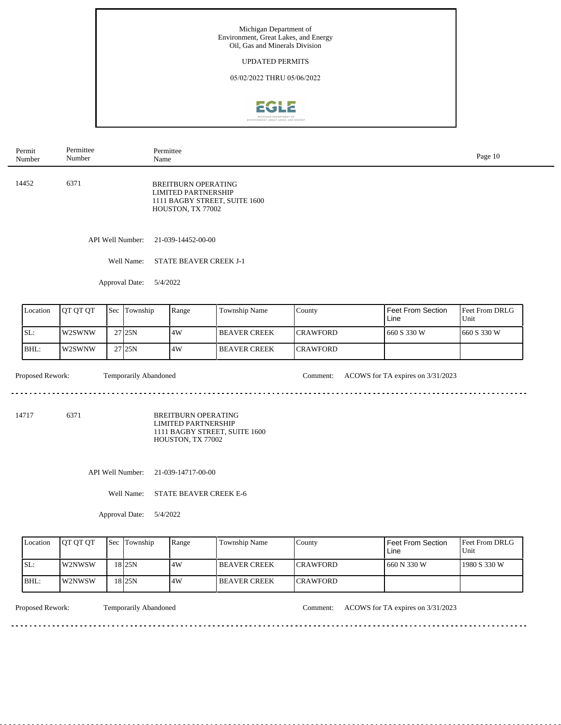

| Permit<br>Number         | Permittee<br>Number |     | Name                            | Permittee                                                                     |                               |                             |                                   | Page 10                |
|--------------------------|---------------------|-----|---------------------------------|-------------------------------------------------------------------------------|-------------------------------|-----------------------------|-----------------------------------|------------------------|
| 14452                    | 6371                |     |                                 | <b>BREITBURN OPERATING</b><br><b>LIMITED PARTNERSHIP</b><br>HOUSTON, TX 77002 | 1111 BAGBY STREET, SUITE 1600 |                             |                                   |                        |
|                          |                     |     | API Well Number:                | 21-039-14452-00-00                                                            |                               |                             |                                   |                        |
|                          |                     |     | Well Name:                      | <b>STATE BEAVER CREEK J-1</b>                                                 |                               |                             |                                   |                        |
|                          |                     |     | Approval Date:                  | 5/4/2022                                                                      |                               |                             |                                   |                        |
| Location                 | QT QT QT            | Sec | Township                        | Range                                                                         | Township Name                 | County                      | <b>Feet From Section</b><br>Line  | Feet From DRLG<br>Unit |
|                          |                     |     |                                 |                                                                               |                               |                             |                                   |                        |
| SL:                      | W2SWNW              |     | 27 25N                          | 4W                                                                            | <b>BEAVER CREEK</b>           | <b>CRAWFORD</b>             | 660 S 330 W                       | 660 S 330 W            |
| BHL:<br>Proposed Rework: | W2SWNW              |     | 27 25N<br>Temporarily Abandoned | 4W                                                                            | <b>BEAVER CREEK</b>           | <b>CRAWFORD</b><br>Comment: | ACOWS for TA expires on 3/31/2023 |                        |
| 14717                    | 6371                |     |                                 | <b>BREITBURN OPERATING</b><br><b>LIMITED PARTNERSHIP</b><br>HOUSTON, TX 77002 | 1111 BAGBY STREET, SUITE 1600 |                             |                                   |                        |
|                          |                     |     | API Well Number:                | 21-039-14717-00-00                                                            |                               |                             |                                   |                        |
|                          |                     |     | Well Name:<br>Approval Date:    | <b>STATE BEAVER CREEK E-6</b><br>5/4/2022                                     |                               |                             |                                   |                        |
| Location                 | QT QT QT            | Sec | Township                        | Range                                                                         | Township Name                 | County                      | <b>Feet From Section</b><br>Line  | Feet From DRLG<br>Unit |
| SL:                      | W2NWSW              |     | 18 25N                          | 4W                                                                            | <b>BEAVER CREEK</b>           | <b>CRAWFORD</b>             | 660 N 330 W                       | 1980 S 330 W           |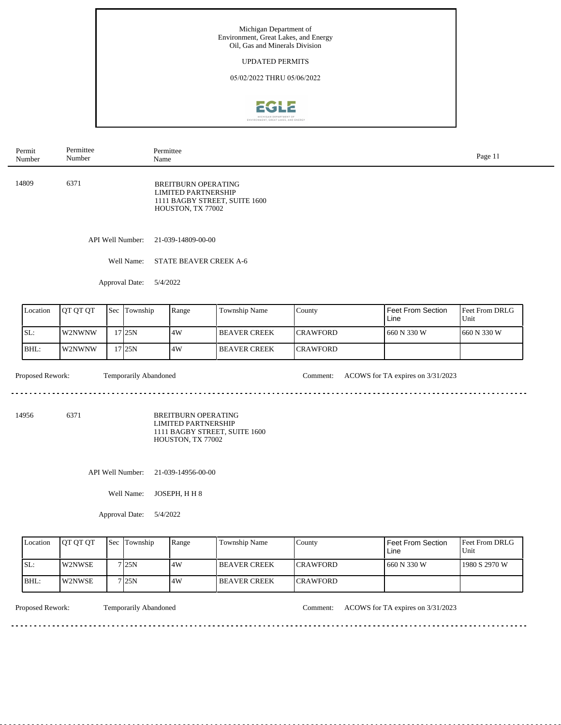

| Permit<br>Number          | Permittee<br>Number |     | Name                           | Permittee                                                                     |                               |                 |                                   | Page 11                |  |  |  |
|---------------------------|---------------------|-----|--------------------------------|-------------------------------------------------------------------------------|-------------------------------|-----------------|-----------------------------------|------------------------|--|--|--|
| 14809                     | 6371                |     |                                | <b>BREITBURN OPERATING</b><br><b>LIMITED PARTNERSHIP</b><br>HOUSTON, TX 77002 | 1111 BAGBY STREET, SUITE 1600 |                 |                                   |                        |  |  |  |
|                           |                     |     | API Well Number:               | 21-039-14809-00-00                                                            |                               |                 |                                   |                        |  |  |  |
|                           |                     |     | Well Name:                     | STATE BEAVER CREEK A-6                                                        |                               |                 |                                   |                        |  |  |  |
|                           |                     |     | Approval Date:<br>5/4/2022     |                                                                               |                               |                 |                                   |                        |  |  |  |
| Location                  | QT QT QT            | Sec | Township                       | Range                                                                         | Township Name                 | County          | <b>Feet From Section</b><br>Line  | Feet From DRLG<br>Unit |  |  |  |
| SL:                       | W2NWNW              |     | $17$ 25N                       | 4W                                                                            | <b>BEAVER CREEK</b>           | <b>CRAWFORD</b> | 660 N 330 W                       | 660 N 330 W            |  |  |  |
| BHL:                      | W2NWNW              |     | $17$ 25N                       | 4W                                                                            | <b>BEAVER CREEK</b>           | <b>CRAWFORD</b> |                                   |                        |  |  |  |
| Proposed Rework:<br>14956 | 6371                |     | Temporarily Abandoned          | <b>BREITBURN OPERATING</b><br><b>LIMITED PARTNERSHIP</b><br>HOUSTON, TX 77002 | 1111 BAGBY STREET, SUITE 1600 | Comment:        | ACOWS for TA expires on 3/31/2023 |                        |  |  |  |
|                           |                     |     | API Well Number:<br>Well Name: | 21-039-14956-00-00<br>JOSEPH, HH 8                                            |                               |                 |                                   |                        |  |  |  |
|                           |                     |     | Approval Date:                 | 5/4/2022                                                                      |                               |                 |                                   |                        |  |  |  |
| Location                  | QT QT QT            | Sec | Township                       | Range                                                                         | Township Name                 | County          | Feet From Section<br>Line         | Feet From DRLG<br>Unit |  |  |  |
| SL:                       | W2NWSE              |     | 7 25N                          | 4W                                                                            | <b>BEAVER CREEK</b>           | <b>CRAWFORD</b> | 660 N 330 W                       | 1980 S 2970 W          |  |  |  |
| BHL:                      | W2NWSE              |     | 7 25N                          | 4W                                                                            | <b>BEAVER CREEK</b>           | <b>CRAWFORD</b> |                                   |                        |  |  |  |

 $- - - - - -$ 

Proposed Rework: Temporarily Abandoned Comment: ACOWS for TA expires on 3/31/2023

. . . . . . . . . . . . . . . . . .

<u>. . . . . . . . . . . . . . . . .</u>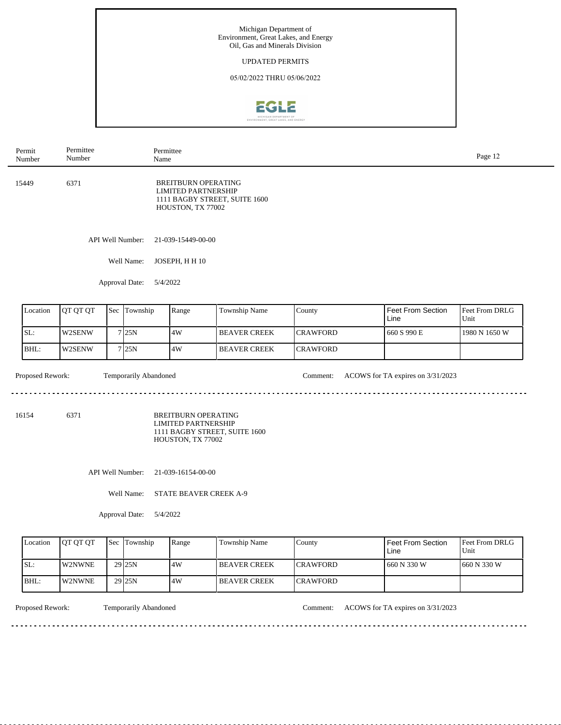

| Permit<br>Number          | Permittee<br>Number |     | Name                                                         | Permittee                                                                     |                               |                 |                                   | Page 12                |
|---------------------------|---------------------|-----|--------------------------------------------------------------|-------------------------------------------------------------------------------|-------------------------------|-----------------|-----------------------------------|------------------------|
| 6371<br>15449             |                     |     |                                                              | <b>BREITBURN OPERATING</b><br><b>LIMITED PARTNERSHIP</b><br>HOUSTON, TX 77002 | 1111 BAGBY STREET, SUITE 1600 |                 |                                   |                        |
|                           | API Well Number:    |     |                                                              | 21-039-15449-00-00                                                            |                               |                 |                                   |                        |
|                           |                     |     | Well Name:                                                   | JOSEPH, HH 10                                                                 |                               |                 |                                   |                        |
|                           |                     |     | Approval Date:<br>5/4/2022                                   |                                                                               |                               |                 |                                   |                        |
| Location                  | QT QT QT            |     | Sec Township                                                 | Range                                                                         | Township Name                 | County          | <b>Feet From Section</b><br>Line  | Feet From DRLG<br>Unit |
| SL:                       | W2SENW              |     | 7 25N                                                        | 4W                                                                            | <b>BEAVER CREEK</b>           | <b>CRAWFORD</b> | 660 S 990 E                       | 1980 N 1650 W          |
| BHL:                      | W2SENW              |     | 7 25N                                                        | 4W                                                                            | <b>BEAVER CREEK</b>           | <b>CRAWFORD</b> |                                   |                        |
| Proposed Rework:<br>16154 | 6371                |     | Temporarily Abandoned                                        | <b>BREITBURN OPERATING</b><br><b>LIMITED PARTNERSHIP</b>                      | 1111 BAGBY STREET, SUITE 1600 | Comment:        | ACOWS for TA expires on 3/31/2023 |                        |
|                           |                     |     | API Well Number:<br>Well Name:<br>Approval Date:<br>5/4/2022 | HOUSTON, TX 77002<br>21-039-16154-00-00<br>STATE BEAVER CREEK A-9             |                               |                 |                                   |                        |
| Location                  | QT QT QT            | Sec | Township                                                     | Range                                                                         | Township Name                 | County          | <b>Feet From Section</b><br>Line  | Feet From DRLG<br>Unit |
| SL:                       | W2NWNE              |     | 29 25N                                                       | 4W                                                                            | <b>BEAVER CREEK</b>           | <b>CRAWFORD</b> | 660 N 330 W                       | 660 N 330 W            |
| BHL:                      | W2NWNE              |     | $29$ 25N                                                     | 4W                                                                            | <b>BEAVER CREEK</b>           | <b>CRAWFORD</b> |                                   |                        |
|                           |                     |     |                                                              |                                                                               |                               |                 |                                   |                        |

Proposed Rework: Temporarily Abandoned Comment: ACOWS for TA expires on 3/31/2023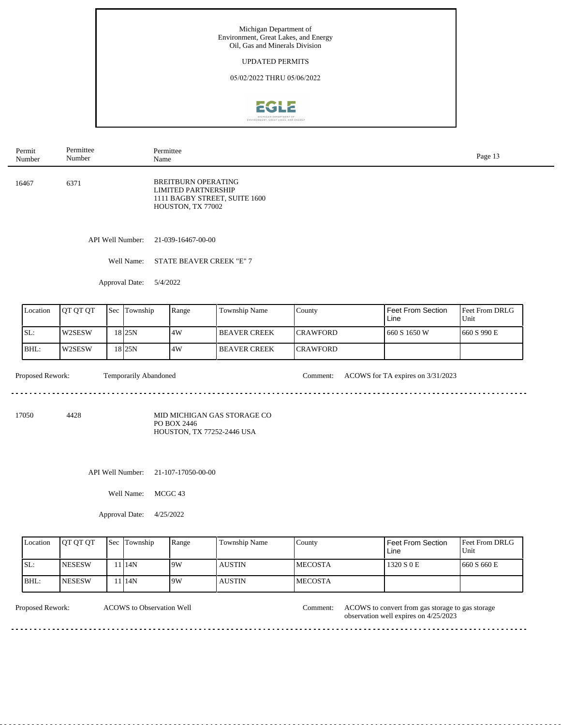

| Permit<br>Number | Permittee<br>Number |     |                       | Permittee<br>Name |                                                                               |                               |                 |                                   | Page 13                |  |  |
|------------------|---------------------|-----|-----------------------|-------------------|-------------------------------------------------------------------------------|-------------------------------|-----------------|-----------------------------------|------------------------|--|--|
| 16467            | 6371                |     |                       |                   | <b>BREITBURN OPERATING</b><br><b>LIMITED PARTNERSHIP</b><br>HOUSTON, TX 77002 | 1111 BAGBY STREET, SUITE 1600 |                 |                                   |                        |  |  |
|                  | API Well Number:    |     |                       |                   | 21-039-16467-00-00                                                            |                               |                 |                                   |                        |  |  |
|                  | Well Name:          |     |                       |                   | STATE BEAVER CREEK "E" 7                                                      |                               |                 |                                   |                        |  |  |
| Approval Date:   |                     |     |                       | 5/4/2022          |                                                                               |                               |                 |                                   |                        |  |  |
| Location         | QT QT QT            | Sec | Township              |                   | Range                                                                         | Township Name                 | County          | <b>Feet From Section</b><br>Line  | Feet From DRLG<br>Unit |  |  |
| SL:              | W2SESW              |     | 18 25N                |                   | $4\mathrm{W}$                                                                 | <b>BEAVER CREEK</b>           | <b>CRAWFORD</b> | 660 S 1650 W                      | 660 S 990 E            |  |  |
| BHL:             | W2SESW              |     | $18$ 25N              |                   | 4W                                                                            | <b>BEAVER CREEK</b>           | <b>CRAWFORD</b> |                                   |                        |  |  |
| Proposed Rework: |                     |     | Temporarily Abandoned |                   |                                                                               |                               | Comment:        | ACOWS for TA expires on 3/31/2023 |                        |  |  |
| 17050            | 4428                |     |                       |                   | PO BOX 2446<br>HOUSTON, TX 77252-2446 USA                                     | MID MICHIGAN GAS STORAGE CO   |                 |                                   |                        |  |  |
| API Well Number: |                     |     |                       |                   | 21-107-17050-00-00                                                            |                               |                 |                                   |                        |  |  |
|                  |                     |     | Well Name:            | MCGC 43           |                                                                               |                               |                 |                                   |                        |  |  |
|                  |                     |     | Approval Date:        |                   | 4/25/2022                                                                     |                               |                 |                                   |                        |  |  |

| Location | <b>OT OT OT</b> | <b>Sec</b> | Township | Range | Township Name | County          | Feet From Section<br>Line | <b>Feet From DRLG</b><br>Unit |
|----------|-----------------|------------|----------|-------|---------------|-----------------|---------------------------|-------------------------------|
| SL:      | <b>NESESW</b>   |            | 1 14N    | 19W   | AUSTIN        | <b>IMECOSTA</b> | 1320 S 0 E                | 1660 S 660 E                  |
| BHL:     | <b>NESESW</b>   |            | 1 14N    | 19W   | <b>AUSTIN</b> | <b>IMECOSTA</b> |                           |                               |

J.

ACOWS to Observation Well Comment:

Proposed Rework: ACOWS to Observation Well **Comment: ACOWS to convert from gas storage** to gas storage observation well expires on 4/25/2023

 $\frac{1}{2}$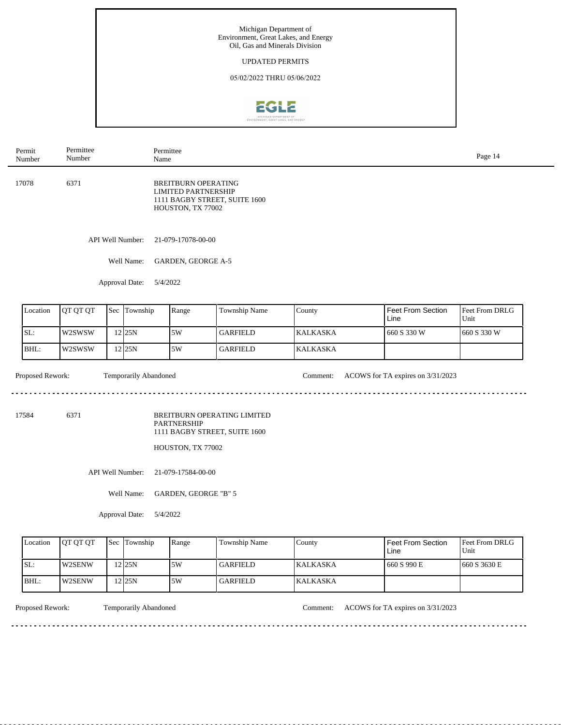

| Permit<br>Number           | Permittee<br>Number |     | Name                  | Permittee                                                                     |                                                              |                 |                                   | Page 14                |
|----------------------------|---------------------|-----|-----------------------|-------------------------------------------------------------------------------|--------------------------------------------------------------|-----------------|-----------------------------------|------------------------|
| 17078                      | 6371                |     |                       | <b>BREITBURN OPERATING</b><br><b>LIMITED PARTNERSHIP</b><br>HOUSTON, TX 77002 | 1111 BAGBY STREET, SUITE 1600                                |                 |                                   |                        |
|                            |                     |     | API Well Number:      | 21-079-17078-00-00                                                            |                                                              |                 |                                   |                        |
|                            |                     |     | Well Name:            | GARDEN, GEORGE A-5                                                            |                                                              |                 |                                   |                        |
|                            |                     |     | Approval Date:        | 5/4/2022                                                                      |                                                              |                 |                                   |                        |
| Location                   | QT QT QT            | Sec | Township              | Range                                                                         | Township Name                                                | County          | <b>Feet From Section</b><br>Line  | Feet From DRLG<br>Unit |
| SL:                        | W2SWSW              |     | $12$ 25N              | 5W                                                                            | <b>GARFIELD</b>                                              | <b>KALKASKA</b> | 660 S 330 W                       | 660 S 330 W            |
| BHL:                       | W2SWSW              |     | $12$ 25N              | 5W                                                                            | <b>GARFIELD</b>                                              | <b>KALKASKA</b> |                                   |                        |
| Proposed Rework:           |                     |     | Temporarily Abandoned |                                                                               |                                                              | Comment:        | ACOWS for TA expires on 3/31/2023 |                        |
| 17584                      | 6371                |     |                       | <b>PARTNERSHIP</b>                                                            | BREITBURN OPERATING LIMITED<br>1111 BAGBY STREET, SUITE 1600 |                 |                                   |                        |
|                            |                     |     |                       | HOUSTON, TX 77002                                                             |                                                              |                 |                                   |                        |
|                            |                     |     | API Well Number:      | 21-079-17584-00-00                                                            |                                                              |                 |                                   |                        |
|                            |                     |     | Well Name:            | GARDEN, GEORGE "B" 5                                                          |                                                              |                 |                                   |                        |
| Approval Date:<br>5/4/2022 |                     |     |                       |                                                                               |                                                              |                 |                                   |                        |
| Location                   | QT QT QT            | Sec | Township              | Range                                                                         | Township Name                                                | County          | <b>Feet From Section</b><br>Line  | Feet From DRLG<br>Unit |
| SL:                        | W2SENW              |     | 12 25N                | 5W                                                                            | <b>GARFIELD</b>                                              | <b>KALKASKA</b> | 660 S 990 E                       | 660 S 3630 E           |
| BHL:                       | $12$ 25N<br>W2SENW  |     |                       | 5W                                                                            | <b>GARFIELD</b>                                              | <b>KALKASKA</b> |                                   |                        |

Proposed Rework: Temporarily Abandoned Comment: ACOWS for TA expires on 3/31/2023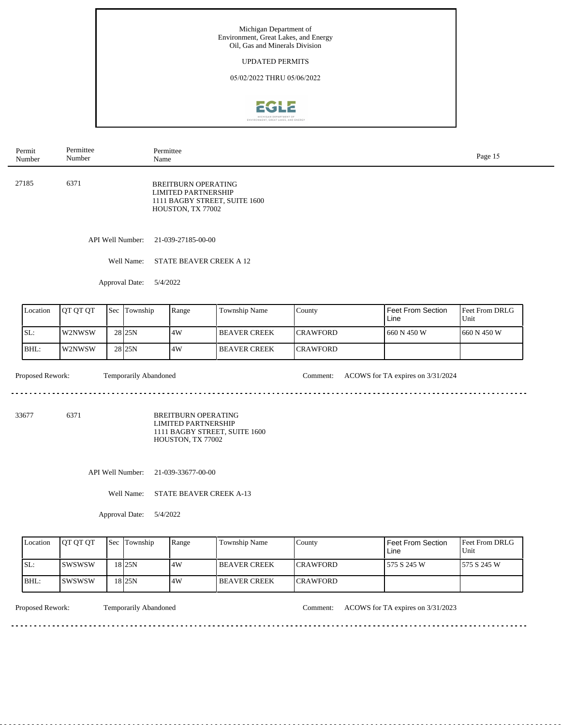

| Permit<br>Number         | Permittee<br>Number |     | Name                            | Permittee                                                                     |                               |                      |                                   | Page 15                |
|--------------------------|---------------------|-----|---------------------------------|-------------------------------------------------------------------------------|-------------------------------|----------------------|-----------------------------------|------------------------|
| 27185                    | 6371                |     |                                 | <b>BREITBURN OPERATING</b><br><b>LIMITED PARTNERSHIP</b><br>HOUSTON, TX 77002 | 1111 BAGBY STREET, SUITE 1600 |                      |                                   |                        |
|                          |                     |     | API Well Number:                | 21-039-27185-00-00                                                            |                               |                      |                                   |                        |
|                          |                     |     | Well Name:                      | STATE BEAVER CREEK A 12                                                       |                               |                      |                                   |                        |
|                          |                     |     | Approval Date:                  | 5/4/2022                                                                      |                               |                      |                                   |                        |
| Location                 | QT QT QT            | Sec | Township                        | Range                                                                         | Township Name                 | County               | <b>Feet From Section</b><br>Line  | Feet From DRLG<br>Unit |
|                          |                     |     |                                 |                                                                               |                               | CRAWFORD             | 660 N 450 W                       | 660 N 450 W            |
| SL:                      | W2NWSW              |     | 28 25N                          | $4\mathrm{W}$                                                                 | <b>BEAVER CREEK</b>           |                      |                                   |                        |
| BHL:<br>Proposed Rework: | W2NWSW              |     | 28 25N<br>Temporarily Abandoned | 4W                                                                            | <b>BEAVER CREEK</b>           | CRAWFORD<br>Comment: | ACOWS for TA expires on 3/31/2024 |                        |
| 33677                    | 6371                |     |                                 | <b>BREITBURN OPERATING</b><br><b>LIMITED PARTNERSHIP</b><br>HOUSTON, TX 77002 | 1111 BAGBY STREET, SUITE 1600 |                      |                                   |                        |
|                          |                     |     | API Well Number:<br>Well Name:  | 21-039-33677-00-00<br>STATE BEAVER CREEK A-13                                 |                               |                      |                                   |                        |
|                          |                     |     | Approval Date:                  | 5/4/2022                                                                      |                               |                      |                                   |                        |
| Location                 | QT QT QT            | Sec | Township                        | Range                                                                         | Township Name                 | County               | <b>Feet From Section</b><br>Line  | Feet From DRLG<br>Unit |
| SL:                      | SWSWSW              |     | $18$ 25N                        | 4W                                                                            | <b>BEAVER CREEK</b>           | CRAWFORD             | 575 S 245 W                       | 575 S 245 W            |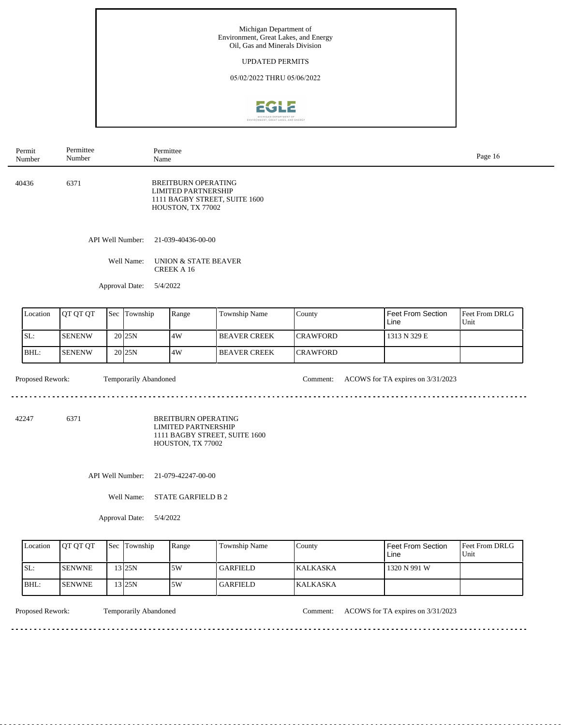

| Permit<br>Number | Permittee<br>Number |     | Name                         | Permittee                                                                     |                               |                 |                                   | Page 16                |  |  |
|------------------|---------------------|-----|------------------------------|-------------------------------------------------------------------------------|-------------------------------|-----------------|-----------------------------------|------------------------|--|--|
| 40436            | 6371                |     |                              | <b>BREITBURN OPERATING</b><br><b>LIMITED PARTNERSHIP</b><br>HOUSTON, TX 77002 | 1111 BAGBY STREET, SUITE 1600 |                 |                                   |                        |  |  |
|                  | API Well Number:    |     |                              | 21-039-40436-00-00                                                            |                               |                 |                                   |                        |  |  |
|                  | Well Name:          |     |                              | UNION & STATE BEAVER<br><b>CREEK A 16</b>                                     |                               |                 |                                   |                        |  |  |
|                  |                     |     | Approval Date:               | 5/4/2022                                                                      |                               |                 |                                   |                        |  |  |
| Location         | QT QT QT            | Sec | Township                     | Range                                                                         | Township Name                 | County          | Feet From Section<br>Line         | Feet From DRLG<br>Unit |  |  |
| SL:              | <b>SENENW</b>       |     | 20 25N                       | 4W                                                                            | <b>BEAVER CREEK</b>           | <b>CRAWFORD</b> | 1313 N 329 E                      |                        |  |  |
| BHL:             | <b>SENENW</b>       |     | 20 25N                       | 4W                                                                            | <b>BEAVER CREEK</b>           | <b>CRAWFORD</b> |                                   |                        |  |  |
| Proposed Rework: |                     |     | <b>Temporarily Abandoned</b> |                                                                               |                               | Comment:        | ACOWS for TA expires on 3/31/2023 |                        |  |  |
| 42247            | 6371                |     |                              | <b>BREITBURN OPERATING</b><br><b>LIMITED PARTNERSHIP</b><br>HOUSTON, TX 77002 | 1111 BAGBY STREET, SUITE 1600 |                 |                                   |                        |  |  |
|                  | API Well Number:    |     |                              | 21-079-42247-00-00                                                            |                               |                 |                                   |                        |  |  |
|                  |                     |     | Well Name:                   | <b>STATE GARFIELD B 2</b>                                                     |                               |                 |                                   |                        |  |  |
|                  |                     |     | Approval Date:               | 5/4/2022                                                                      |                               |                 |                                   |                        |  |  |
| Location         | QT QT QT            | Sec | Township                     | Range                                                                         | Township Name                 | County          | Feet From Section<br>Line         | Feet From DRLG<br>Unit |  |  |

| LLOCAUON | TUI UI UI      | <b>15ec LLOWNSHID</b> | <b>Range</b> | TOWNSHID Name   | I COUNTY         | I FEEL FIUIII SECUUII<br>Line | <b>IFEEL FROM DRLU</b><br>Unit |
|----------|----------------|-----------------------|--------------|-----------------|------------------|-------------------------------|--------------------------------|
| SL:      | <b>ISENWNE</b> | 3 25N                 | .5W          | <b>GARFIELD</b> | <b>IKALKASKA</b> | 1320 N 991 W                  |                                |
| IBHL:    | <b>ISENWNE</b> | $3$ 25N               | 5W           | <b>GARFIELD</b> | <b>KALKASKA</b>  |                               |                                |

 $\sim$ 

Proposed Rework: Temporarily Abandoned Comment: ACOWS for TA expires on 3/31/2023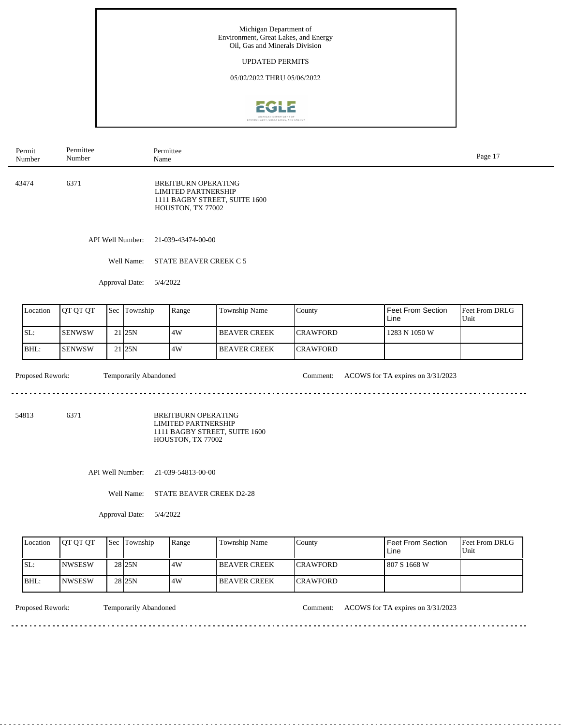

| Permit<br>Number         | Permittee<br>Number |     | Name                              | Permittee                                                                     |                                 |                             |                                   | Page 17                |
|--------------------------|---------------------|-----|-----------------------------------|-------------------------------------------------------------------------------|---------------------------------|-----------------------------|-----------------------------------|------------------------|
| 43474                    | 6371                |     |                                   | <b>BREITBURN OPERATING</b><br><b>LIMITED PARTNERSHIP</b><br>HOUSTON, TX 77002 | 1111 BAGBY STREET, SUITE 1600   |                             |                                   |                        |
|                          |                     |     | API Well Number:                  | 21-039-43474-00-00                                                            |                                 |                             |                                   |                        |
|                          |                     |     | Well Name:                        | STATE BEAVER CREEK C 5                                                        |                                 |                             |                                   |                        |
|                          |                     |     | Approval Date:                    | 5/4/2022                                                                      |                                 |                             |                                   |                        |
| Location                 | QT QT QT            | Sec | Township                          | Range                                                                         | Township Name                   | County                      | <b>Feet From Section</b><br>Line  | Feet From DRLG<br>Unit |
|                          |                     |     |                                   |                                                                               | <b>BEAVER CREEK</b>             | <b>CRAWFORD</b>             | 1283 N 1050 W                     |                        |
| SL:                      | <b>SENWSW</b>       |     | $21$ 25N                          | 4W                                                                            |                                 |                             |                                   |                        |
| BHL:<br>Proposed Rework: | <b>SENWSW</b>       |     | $21$ 25N<br>Temporarily Abandoned | 4W                                                                            | <b>BEAVER CREEK</b>             | <b>CRAWFORD</b><br>Comment: | ACOWS for TA expires on 3/31/2023 |                        |
|                          | 6371                |     |                                   | <b>BREITBURN OPERATING</b><br><b>LIMITED PARTNERSHIP</b><br>HOUSTON, TX 77002 | 1111 BAGBY STREET, SUITE 1600   |                             |                                   |                        |
|                          |                     |     | API Well Number:                  | 21-039-54813-00-00                                                            |                                 |                             |                                   |                        |
| 54813                    |                     |     | Well Name:                        |                                                                               | <b>STATE BEAVER CREEK D2-28</b> |                             |                                   |                        |
|                          |                     |     | Approval Date:                    | 5/4/2022                                                                      |                                 |                             |                                   |                        |
| Location                 | QT QT QT            | Sec | Township                          | Range                                                                         | Township Name                   | County                      | <b>Feet From Section</b><br>Line  | Unit                   |
| SL:                      | <b>NWSESW</b>       |     | 28 25N                            | 4W                                                                            | <b>BEAVER CREEK</b>             | <b>CRAWFORD</b>             | 807 S 1668 W                      | Feet From DRLG         |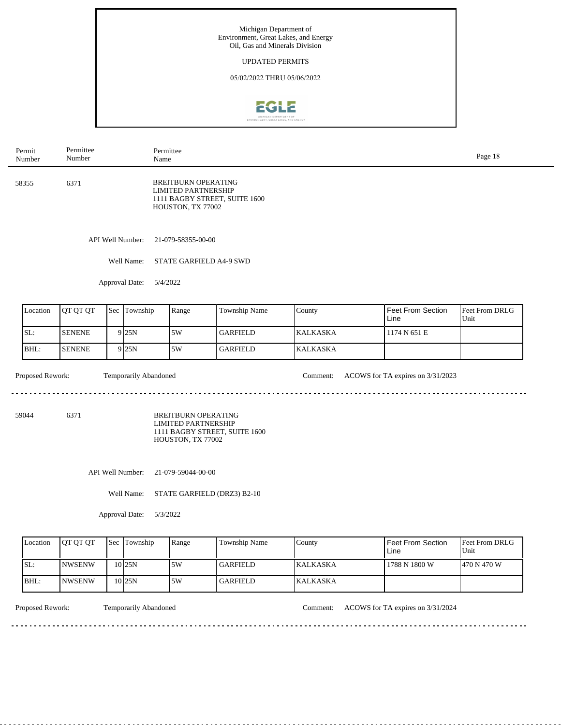

| Permit<br>Number                 | Permittee<br>Number                       |     | Name                  | Permittee                                                                     |                               |                 |                                   | Page 18                |
|----------------------------------|-------------------------------------------|-----|-----------------------|-------------------------------------------------------------------------------|-------------------------------|-----------------|-----------------------------------|------------------------|
| 6371<br>58355                    |                                           |     |                       | <b>BREITBURN OPERATING</b><br><b>LIMITED PARTNERSHIP</b><br>HOUSTON, TX 77002 | 1111 BAGBY STREET, SUITE 1600 |                 |                                   |                        |
|                                  |                                           |     | API Well Number:      | 21-079-58355-00-00                                                            |                               |                 |                                   |                        |
|                                  |                                           |     | Well Name:            | STATE GARFIELD A4-9 SWD                                                       |                               |                 |                                   |                        |
|                                  |                                           |     | Approval Date:        | 5/4/2022                                                                      |                               |                 |                                   |                        |
| Location                         | QT QT QT                                  | Sec | Township              | Range                                                                         | Township Name                 | County          | <b>Feet From Section</b><br>Line  | Feet From DRLG<br>Unit |
| SL:                              | <b>SENENE</b>                             |     | 9 25N                 | $5\mathrm{W}$                                                                 | <b>GARFIELD</b>               | <b>KALKASKA</b> | 1174 N 651 E                      |                        |
| BHL:                             | <b>SENENE</b>                             |     | 9 25N                 | 5W                                                                            | <b>GARFIELD</b>               | <b>KALKASKA</b> |                                   |                        |
| Proposed Rework:                 |                                           |     | Temporarily Abandoned |                                                                               |                               | Comment:        | ACOWS for TA expires on 3/31/2023 |                        |
| 59044                            | 6371                                      |     |                       | <b>BREITBURN OPERATING</b><br><b>LIMITED PARTNERSHIP</b><br>HOUSTON, TX 77002 | 1111 BAGBY STREET, SUITE 1600 |                 |                                   |                        |
|                                  |                                           |     | API Well Number:      | 21-079-59044-00-00                                                            |                               |                 |                                   |                        |
|                                  | Well Name:<br>STATE GARFIELD (DRZ3) B2-10 |     |                       |                                                                               |                               |                 |                                   |                        |
| Approval Date:<br>5/3/2022       |                                           |     |                       |                                                                               |                               |                 |                                   |                        |
| Location                         | QT QT QT                                  | Sec | Township              | Range                                                                         | Township Name                 | County          | Feet From Section<br>Line         | Feet From DRLG<br>Unit |
| SL:<br>$10$ 25N<br><b>NWSENW</b> |                                           |     |                       | $5\mathrm{W}$                                                                 | <b>GARFIELD</b>               | <b>KALKASKA</b> | 1788 N 1800 W                     | 470 N 470 W            |
| 10 25N<br>BHL:<br><b>NWSENW</b>  |                                           |     |                       | 5W                                                                            | <b>GARFIELD</b>               | KALKASKA        |                                   |                        |

<u>. . . . . . . . . . .</u>

 $-$ 

Proposed Rework: Temporarily Abandoned Comment: ACOWS for TA expires on 3/31/2024

<u>. . . . . . . . . . . . . . . . .</u>

<u>. . . . . . . . .</u>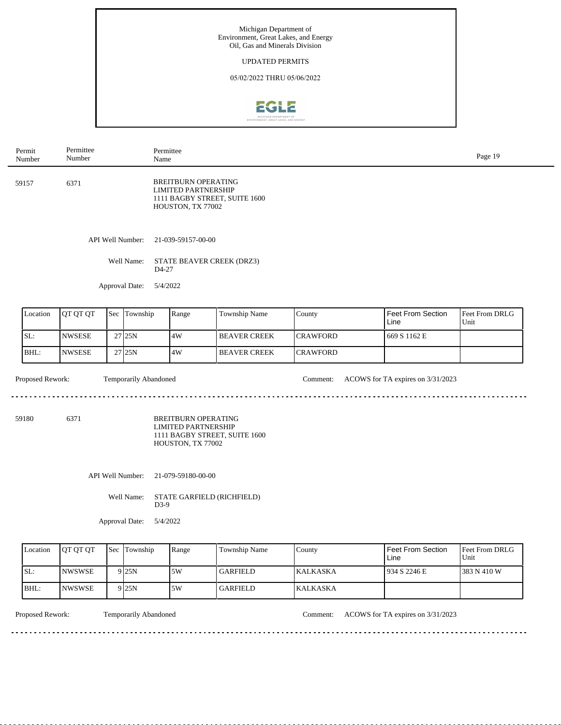

| Permit<br>Number                                                                           | Permittee<br>Number            |     | Name         | Permittee                                                                                                      |                               |                 |                           | Page 19                |  |
|--------------------------------------------------------------------------------------------|--------------------------------|-----|--------------|----------------------------------------------------------------------------------------------------------------|-------------------------------|-----------------|---------------------------|------------------------|--|
| 6371<br>59157                                                                              |                                |     |              | <b>BREITBURN OPERATING</b><br><b>LIMITED PARTNERSHIP</b><br>HOUSTON, TX 77002                                  | 1111 BAGBY STREET, SUITE 1600 |                 |                           |                        |  |
|                                                                                            | API Well Number:<br>Well Name: |     |              | 21-039-59157-00-00<br>STATE BEAVER CREEK (DRZ3)<br>D4-27                                                       |                               |                 |                           |                        |  |
|                                                                                            |                                |     |              |                                                                                                                |                               |                 |                           |                        |  |
| Approval Date:                                                                             |                                |     |              | 5/4/2022                                                                                                       |                               |                 |                           |                        |  |
| Location                                                                                   | QT QT QT                       | Sec | Township     | Range                                                                                                          | Township Name                 | County          | Feet From Section<br>Line | Feet From DRLG<br>Unit |  |
| SL:                                                                                        | <b>NWSESE</b>                  |     | 27 25N       | 4W                                                                                                             | <b>BEAVER CREEK</b>           | <b>CRAWFORD</b> | 669 S 1162 E              |                        |  |
| BHL:                                                                                       | <b>NWSESE</b>                  |     | 27 25N       | 4W                                                                                                             | <b>BEAVER CREEK</b>           | <b>CRAWFORD</b> |                           |                        |  |
| Proposed Rework:<br>Temporarily Abandoned<br>ACOWS for TA expires on 3/31/2023<br>Comment: |                                |     |              |                                                                                                                |                               |                 |                           |                        |  |
| 6371<br>59180                                                                              |                                |     |              | <b>BREITBURN OPERATING</b><br><b>LIMITED PARTNERSHIP</b><br>1111 BAGBY STREET, SUITE 1600<br>HOUSTON, TX 77002 |                               |                 |                           |                        |  |
| API Well Number:<br>21-079-59180-00-00                                                     |                                |     |              |                                                                                                                |                               |                 |                           |                        |  |
| Well Name:<br>STATE GARFIELD (RICHFIELD)<br>$D3-9$                                         |                                |     |              |                                                                                                                |                               |                 |                           |                        |  |
| 5/4/2022<br>Approval Date:                                                                 |                                |     |              |                                                                                                                |                               |                 |                           |                        |  |
| Location                                                                                   | QT QT QT                       |     | Sec Township | Range                                                                                                          | Township Name                 | County          | Feet From Section<br>Line | Feet From DRLG<br>Unit |  |
| SL:                                                                                        | <b>NWSWSE</b>                  |     | 9 25N        | 5W                                                                                                             | <b>GARFIELD</b>               | <b>KALKASKA</b> | 934 S 2246 E              | 383 N 410 W            |  |
| BHL:                                                                                       | <b>NWSWSE</b>                  |     | 9 25N        | 5W                                                                                                             | <b>GARFIELD</b>               | <b>KALKASKA</b> |                           |                        |  |

Proposed Rework: Temporarily Abandoned Comment: ACOWS for TA expires on 3/31/2023

 $- - - - - -$ 

 $\sim$   $\sim$   $\sim$